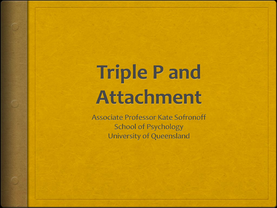# **Triple Pand Attachment**

**Associate Professor Kate Sofronoff School of Psychology University of Queensland**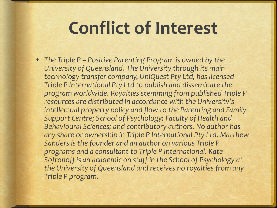#### **Conflict of Interest**

 *The Triple P – Positive Parenting Program is owned by the University of Queensland. The University through its main technology transfer company, UniQuest Pty Ltd, has licensed Triple P International Pty Ltd to publish and disseminate the program worldwide. Royalties stemming from published Triple P resources are distributed in accordance with the University's intellectual property policy and flow to the Parenting and Family Support Centre; School of Psychology; Faculty of Health and Behavioural Sciences; and contributory authors. No author has any share or ownership in Triple P International Pty Ltd. Matthew Sanders is the founder and an author on various Triple P programs and a consultant to Triple P International. Kate Sofronoff is an academic on staff in the School of Psychology at the University of Queensland and receives no royalties from any Triple P program.*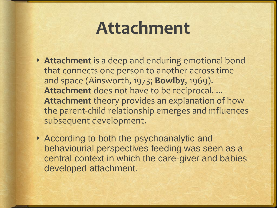#### **Attachment**

- **Attachment** is a deep and enduring emotional bond that connects one person to another across time and space (Ainsworth, 1973; **Bowlby**, 1969). **Attachment** does not have to be reciprocal. ... **Attachment** theory provides an explanation of how the parent-child relationship emerges and influences subsequent development.
- According to both the psychoanalytic and behaviourial perspectives feeding was seen as a central context in which the care-giver and babies developed attachment.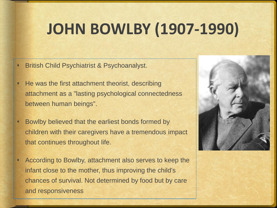#### **JOHN BOWLBY (1907-1990)**

- British Child Psychiatrist & Psychoanalyst.
- He was the first attachment theorist, describing attachment as a "lasting psychological connectedness between human beings".
- Bowlby believed that the earliest bonds formed by children with their caregivers have a tremendous impact that continues throughout life.
- According to Bowlby, attachment also serves to keep the infant close to the mother, thus improving the child's chances of survival. Not determined by food but by care and responsiveness

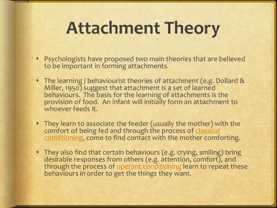#### **Attachment Theory**

- Psychologists have proposed two main theories that are believed to be important in forming attachments.
- The learning / behaviourist theories of attachment (e.g. Dollard & Miller, 1950) suggest that attachment is a set of learned behaviours. The basis for the learning of attachments is the provision of food. An infant will initially form an attachment to whoever feeds it.
- They learn to associate the feeder (usually the mother) with the comfort of being fed and through the process of classical [conditioning, come to find contact with the mother comfo](https://www.simplypsychology.org/classical-conditioning.html)rting.
- They also find that certain behaviours (e.g. crying, smiling) bring desirable responses from others (e.g. attention, comfort), and through the process of [operant conditioning](https://www.simplypsychology.org/operant-conditioning.html) learn to repeat these behaviours in order to get the things they want.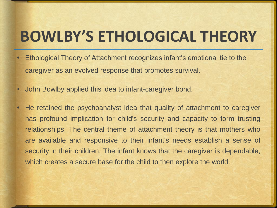#### **BOWLBY'S ETHOLOGICAL THEORY**

- Ethological Theory of Attachment recognizes infant's emotional tie to the caregiver as an evolved response that promotes survival.
- John Bowlby applied this idea to infant-caregiver bond.
- He retained the psychoanalyst idea that quality of attachment to caregiver has profound implication for child's security and capacity to form trusting relationships. The central theme of attachment theory is that mothers who are available and responsive to their infant's needs establish a sense of security in their children. The infant knows that the caregiver is dependable, which creates a secure base for the child to then explore the world.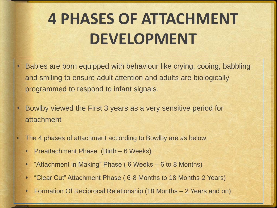#### **4 PHASES OF ATTACHMENT DEVELOPMENT**

- Babies are born equipped with behaviour like crying, cooing, babbling and smiling to ensure adult attention and adults are biologically programmed to respond to infant signals.
- Bowlby viewed the First 3 years as a very sensitive period for attachment
- The 4 phases of attachment according to Bowlby are as below:
	- Preattachment Phase (Birth 6 Weeks)
	- "Attachment in Making" Phase ( 6 Weeks 6 to 8 Months)
	- "Clear Cut" Attachment Phase ( 6-8 Months to 18 Months-2 Years)
	- Formation Of Reciprocal Relationship (18 Months 2 Years and on)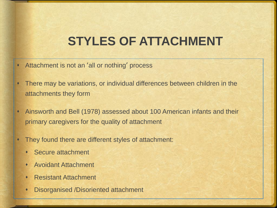#### **STYLES OF ATTACHMENT**

- Attachment is not an 'all or nothing' process
- There may be variations, or individual differences between children in the attachments they form
- Ainsworth and Bell (1978) assessed about 100 American infants and their primary caregivers for the quality of attachment
- They found there are different styles of attachment:
	- Secure attachment
	- Avoidant Attachment
	- Resistant Attachment
	- Disorganised /Disoriented attachment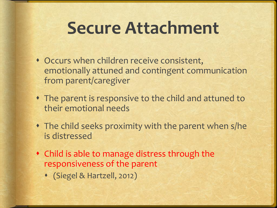#### **Secure Attachment**

- Occurs when children receive consistent, emotionally attuned and contingent communication from parent/caregiver
- The parent is responsive to the child and attuned to their emotional needs
- The child seeks proximity with the parent when s/he is distressed
- Child is able to manage distress through the responsiveness of the parent
	- (Siegel & Hartzell, 2012)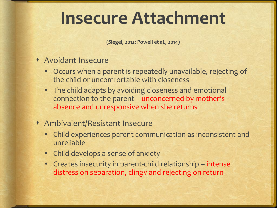#### **Insecure Attachment**

**(Siegel, 2012; Powell et al., 2014)** 

- Avoidant Insecure
	- Occurs when a parent is repeatedly unavailable, rejecting of the child or uncomfortable with closeness
	- The child adapts by avoiding closeness and emotional connection to the parent – unconcerned by mother's absence and unresponsive when she returns
- Ambivalent/Resistant Insecure
	- Child experiences parent communication as inconsistent and unreliable
	- Child develops a sense of anxiety
	- Creates insecurity in parent-child relationship intense distress on separation, clingy and rejecting on return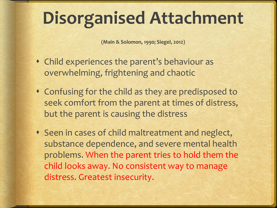## **Disorganised Attachment**

**(Main & Solomon, 1990; Siegel, 2012)**

- Child experiences the parent's behaviour as overwhelming, frightening and chaotic
- Confusing for the child as they are predisposed to seek comfort from the parent at times of distress, but the parent is causing the distress
- Seen in cases of child maltreatment and neglect, substance dependence, and severe mental health problems. When the parent tries to hold them the child looks away. No consistent way to manage distress. Greatest insecurity.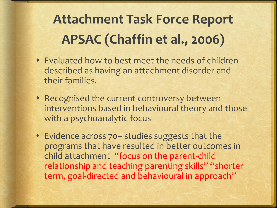#### **Attachment Task Force Report APSAC (Chaffin et al., 2006)**

- Evaluated how to best meet the needs of children described as having an attachment disorder and their families.
- Recognised the current controversy between interventions based in behavioural theory and those with a psychoanalytic focus
- Evidence across 70+ studies suggests that the programs that have resulted in better outcomes in child attachment "focus on the parent-child relationship and teaching parenting skills" "shorter term, goal-directed and behavioural in approach"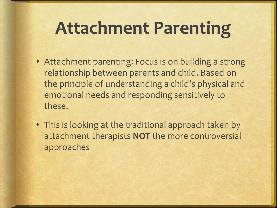#### **Attachment Parenting**

- Attachment parenting: Focus is on building a strong relationship between parents and child. Based on the principle of understanding a child's physical and emotional needs and responding sensitively to these.
- This is looking at the traditional approach taken by attachment therapists **NOT** the more controversial approaches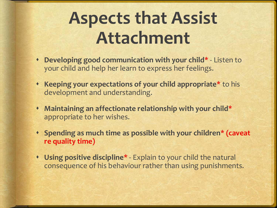## **Aspects that Assist Attachment**

- **Developing good communication with your child\*** Listen to your child and help her learn to express her feelings.
- **Keeping your expectations of your child appropriate\*** to his development and understanding.
- **Maintaining an affectionate relationship with your child\*** appropriate to her wishes.
- **Spending as much time as possible with your children\* (caveat re quality time)**
- **Using positive discipline\*** Explain to your child the natural consequence of his behaviour rather than using punishments.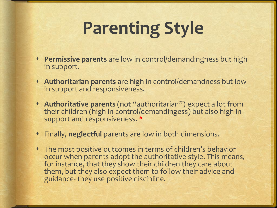# **Parenting Style**

- **Permissive parents** are low in control/demandingness but high in support.
- **Authoritarian parents** are high in control/demandness but low in support and responsiveness.
- **Authoritative parents** (not "authoritarian") expect a lot from their children (high in control/demandingess) but also high in support and responsiveness. \*
- Finally, **neglectful** parents are low in both dimensions.
- The most positive outcomes in terms of children's behavior occur when parents adopt the authoritative style. This means, for instance, that they show their children they care about them, but they also expect them to follow their advice and guidance- they use positive discipline.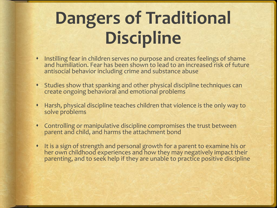# **Dangers of Traditional Discipline**

- Instilling fear in children serves no purpose and creates feelings of shame and humiliation. Fear has been shown to lead to an increased risk of future antisocial behavior including crime and substance abuse
- Studies show that spanking and other physical discipline techniques can create ongoing behavioral and emotional problems
- Harsh, physical discipline teaches children that violence is the only way to solve problems
- Controlling or manipulative discipline compromises the trust between parent and child, and harms the attachment bond
- It is a sign of strength and personal growth for a parent to examine his or her own childhood experiences and how they may negatively impact their parenting, and to seek help if they are unable to practice positive discipline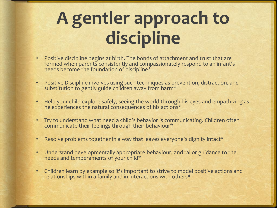# **A gentler approach to discipline**

- Positive discipline begins at birth. The bonds of attachment and trust that are formed when parents consistently and compassionately respond to an infant's needs become the foundation of discipline\*
- Positive Discipline involves using such techniques as prevention, distraction, and substitution to gently guide children away from harm\*
- Help your child explore safely, seeing the world through his eyes and empathizing as he experiences the natural consequences of his actions\*
- Try to understand what need a child's behavior is communicating. Children often communicate their feelings through their behaviour\*
- Resolve problems together in a way that leaves everyone's dignity intact\*
- Understand developmentally appropriate behaviour, and tailor guidance to the needs and temperaments of your child\*
- Children learn by example so it's important to strive to model positive actions and relationships within a family and in interactions with others\*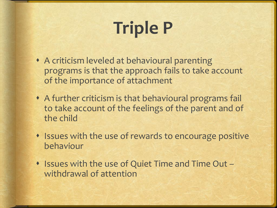# **Triple P**

- A criticism leveled at behavioural parenting programs is that the approach fails to take account of the importance of attachment
- A further criticism is that behavioural programs fail to take account of the feelings of the parent and of the child
- Issues with the use of rewards to encourage positive behaviour
- Issues with the use of Quiet Time and Time Out withdrawal of attention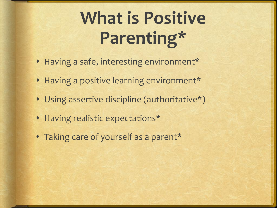# **What is Positive Parenting\***

- Having a safe, interesting environment\*
- Having a positive learning environment\*
- Using assertive discipline (authoritative\*)
- Having realistic expectations\*
- Taking care of yourself as a parent\*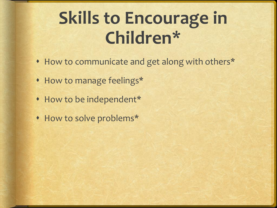## **Skills to Encourage in Children\***

- How to communicate and get along with others\*
- How to manage feelings\*
- How to be independent\*
- How to solve problems\*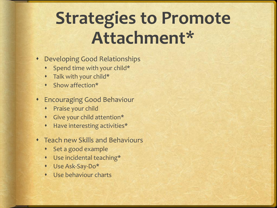## **Strategies to Promote Attachment\***

- Developing Good Relationships
	- Spend time with your child\*
	- Talk with your child\*
	- Show affection\*
- Encouraging Good Behaviour
	- **+** Praise your child
	- Give your child attention\*
	- Have interesting activities\*
- Teach new Skills and Behaviours
	- Set a good example
	- Use incidental teaching\*
	- Use Ask-Say-Do\*
	- Use behaviour charts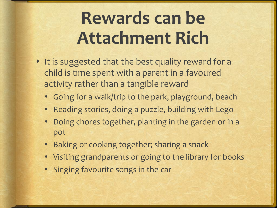# **Rewards can be Attachment Rich**

- It is suggested that the best quality reward for a child is time spent with a parent in a favoured activity rather than a tangible reward
	- Going for a walk/trip to the park, playground, beach
	- Reading stories, doing a puzzle, building with Lego
	- Doing chores together, planting in the garden or in a pot
	- Baking or cooking together; sharing a snack
	- Visiting grandparents or going to the library for books
	- Singing favourite songs in the car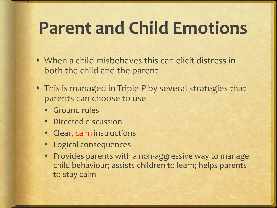## **Parent and Child Emotions**

- When a child misbehaves this can elicit distress in both the child and the parent
- This is managed in Triple P by several strategies that parents can choose to use
	- Ground rules
	- Directed discussion
	- Clear, calm instructions
	- Logical consequences
	- Provides parents with a non-aggressive way to manage child behaviour; assists children to learn; helps parents to stay calm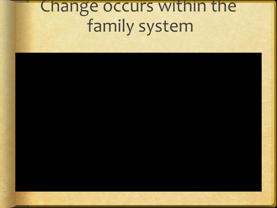#### Change occurs within the family system

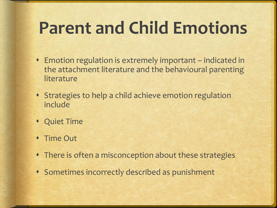## **Parent and Child Emotions**

- Emotion regulation is extremely important indicated in the attachment literature and the behavioural parenting literature
- Strategies to help a child achieve emotion regulation include
- Quiet Time
- Time Out
- There is often a misconception about these strategies
- Sometimes incorrectly described as punishment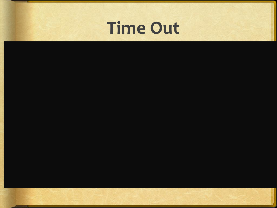

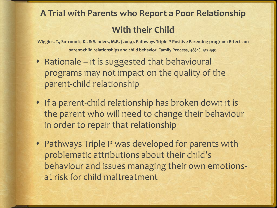#### **A Trial with Parents who Report a Poor Relationship With their Child**

**Wiggins, T., Sofronoff, K., & Sanders, M.R. (2009). Pathways Triple P-Positive Parenting program: Effects on parent-child relationships and child behavior. Family Process, 48(4), 517-530.**

- Rationale it is suggested that behavioural programs may not impact on the quality of the parent-child relationship
- If a parent-child relationship has broken down it is the parent who will need to change their behaviour in order to repair that relationship
- Pathways Triple P was developed for parents with problematic attributions about their child's behaviour and issues managing their own emotionsat risk for child maltreatment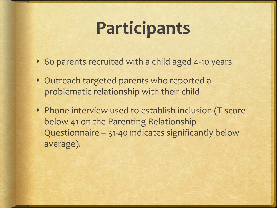## **Participants**

- 60 parents recruited with a child aged 4-10 years
- Outreach targeted parents who reported a problematic relationship with their child
- Phone interview used to establish inclusion (T-score below 41 on the Parenting Relationship Questionnaire – 31-40 indicates significantly below average).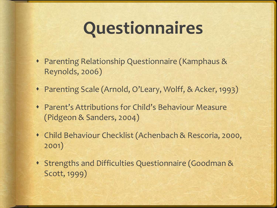#### **Questionnaires**

- Parenting Relationship Questionnaire (Kamphaus & Reynolds, 2006)
- Parenting Scale (Arnold, O'Leary, Wolff, & Acker, 1993)
- Parent's Attributions for Child's Behaviour Measure (Pidgeon & Sanders, 2004)
- Child Behaviour Checklist (Achenbach & Rescoria, 2000, 2001)
- Strengths and Difficulties Questionnaire (Goodman & Scott, 1999)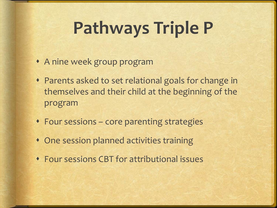# **Pathways Triple P**

- A nine week group program
- Parents asked to set relational goals for change in themselves and their child at the beginning of the program
- Four sessions core parenting strategies
- One session planned activities training
- Four sessions CBT for attributional issues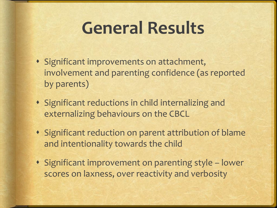#### **General Results**

- Significant improvements on attachment, involvement and parenting confidence (as reported by parents)
- Significant reductions in child internalizing and externalizing behaviours on the CBCL
- Significant reduction on parent attribution of blame and intentionality towards the child
- Significant improvement on parenting style lower scores on laxness, over reactivity and verbosity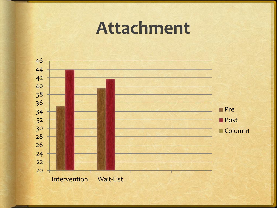#### **Attachment**

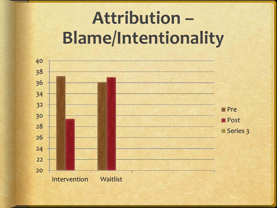# **Attribution – Blame/Intentionality**

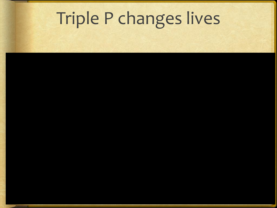## Triple P changes lives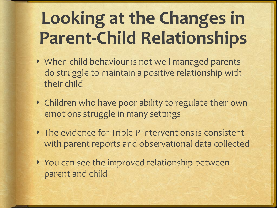# **Looking at the Changes in Parent-Child Relationships**

- When child behaviour is not well managed parents do struggle to maintain a positive relationship with their child
- Children who have poor ability to regulate their own emotions struggle in many settings
- The evidence for Triple P interventions is consistent with parent reports and observational data collected
- You can see the improved relationship between parent and child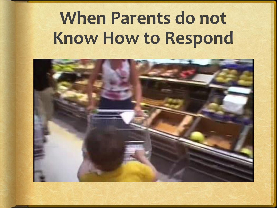## **When Parents do not Know How to Respond**

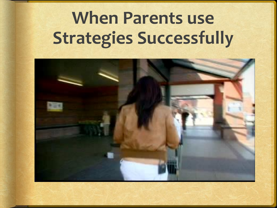# **When Parents use Strategies Successfully**

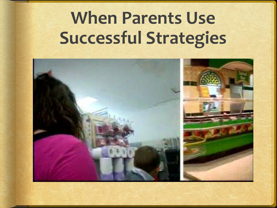# **When Parents Use Successful Strategies**

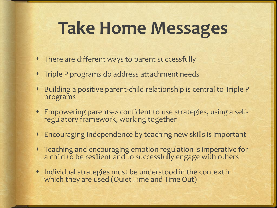#### **Take Home Messages**

- There are different ways to parent successfully
- Triple P programs do address attachment needs
- Building a positive parent-child relationship is central to Triple P programs
- Empowering parents-> confident to use strategies, using a selfregulatory framework, working together
- Encouraging independence by teaching new skills is important
- Teaching and encouraging emotion regulation is imperative for a child to be resilient and to successfully engage with others
- Individual strategies must be understood in the context in which they are used (Quiet Time and Time Out)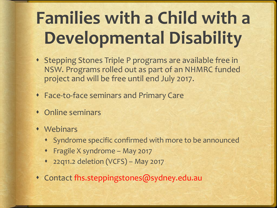# **Families with a Child with a Developmental Disability**

- Stepping Stones Triple P programs are available free in NSW. Programs rolled out as part of an NHMRC funded project and will be free until end July 2017.
- Face-to-face seminars and Primary Care
- Online seminars
- Webinars
	- Syndrome specific confirmed with more to be announced
	- Fragile X syndrome May 2017
	- 22q11.2 deletion (VCFS) May 2017
- Contact fhs.steppingstones@sydney.edu.au